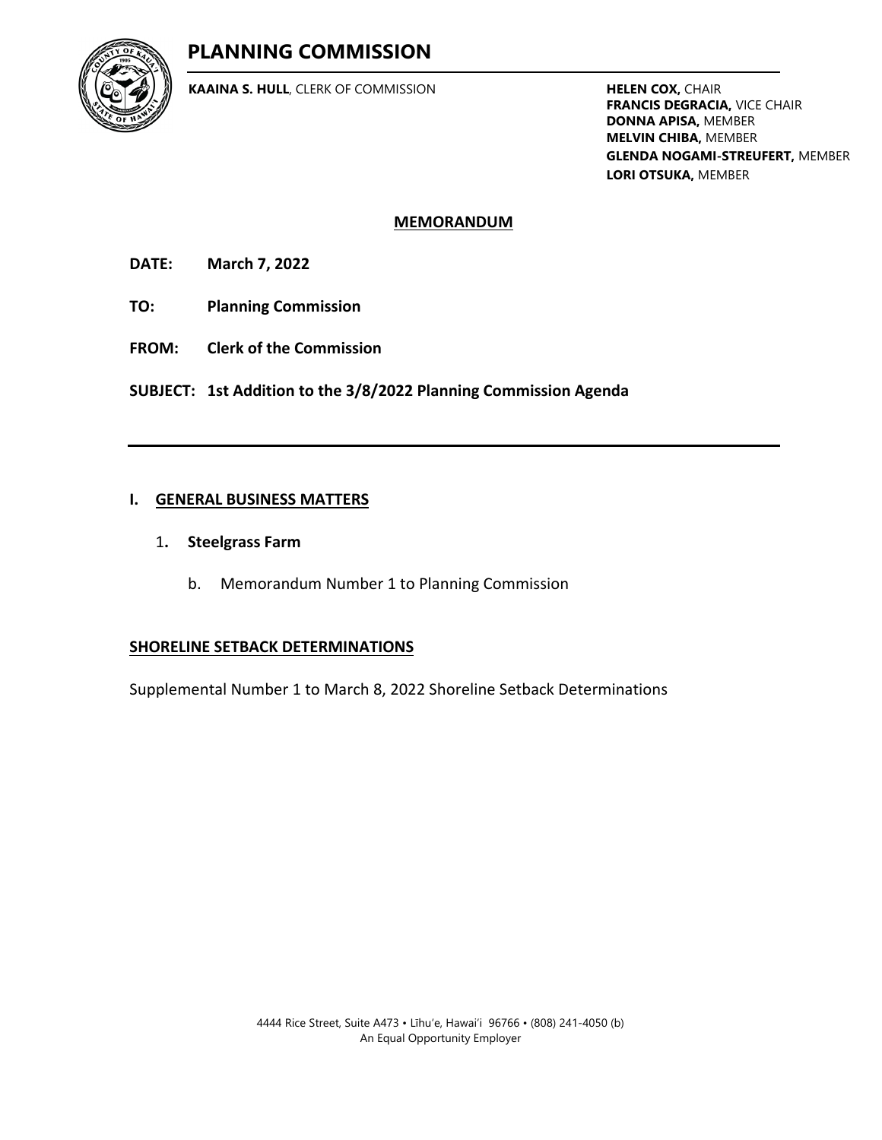# **PLANNING COMMISSION**



**KAAINA S. HULL**, CLERK OF COMMISSION **HELEN COX,** CHAIR

**FRANCIS DEGRACIA,** VICE CHAIR **DONNA APISA,** MEMBER **MELVIN CHIBA,** MEMBER **GLENDA NOGAMI-STREUFERT,** MEMBER **LORI OTSUKA,** MEMBER

#### **MEMORANDUM**

**DATE: March 7, 2022**

- **TO: Planning Commission**
- **FROM: Clerk of the Commission**

**SUBJECT: 1st Addition to the 3/8/2022 Planning Commission Agenda**

#### **I. GENERAL BUSINESS MATTERS**

- 1**. Steelgrass Farm**
	- b. Memorandum Number 1 to Planning Commission

#### **SHORELINE SETBACK DETERMINATIONS**

Supplemental Number 1 to March 8, 2022 Shoreline Setback Determinations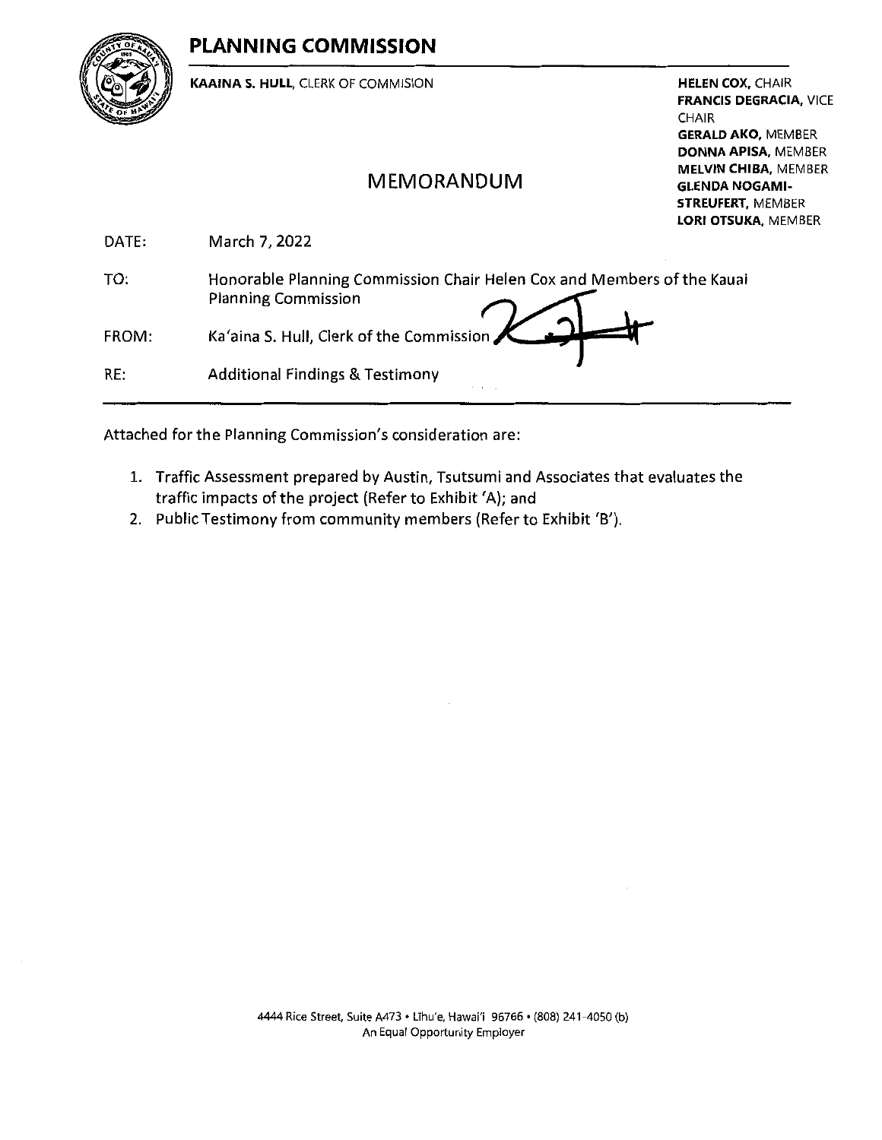# PLANNING COMMISSION



KAAINA S. HULL, CLERK OF COMMISION

**HELEN COX, CHAIR** FRANCIS DEGRACIA, VICE CHAIR **GERALD AKO, MEMBER** DONNA APISA, MEMBER MELVIN CHIBA, MEMBER GLENDA NOGAMI-STREUFERT, MEMBER LORI OTSUKA, MEMBER

# MEMORANDUM

|       | LUNI UIJUMA, IVIL                                                                                    |
|-------|------------------------------------------------------------------------------------------------------|
| DATE: | March 7, 2022                                                                                        |
| TO:   | Honorable Planning Commission Chair Helen Cox and Members of the Kauai<br><b>Planning Commission</b> |
| FROM: | Ka'aina S. Hull, Clerk of the Commission                                                             |
| RE:   | <b>Additional Findings &amp; Testimony</b>                                                           |
|       |                                                                                                      |

Attached for the Planning Commission's consideration are:

- 1. Traffic Assessment prepared by Austin, Tsutsumi and Associates that evaluates the traffic impacts of the project (Refer to Exhibit 'A); and
- 2. Public Testimony from community members (Refer to Exhibit 'B').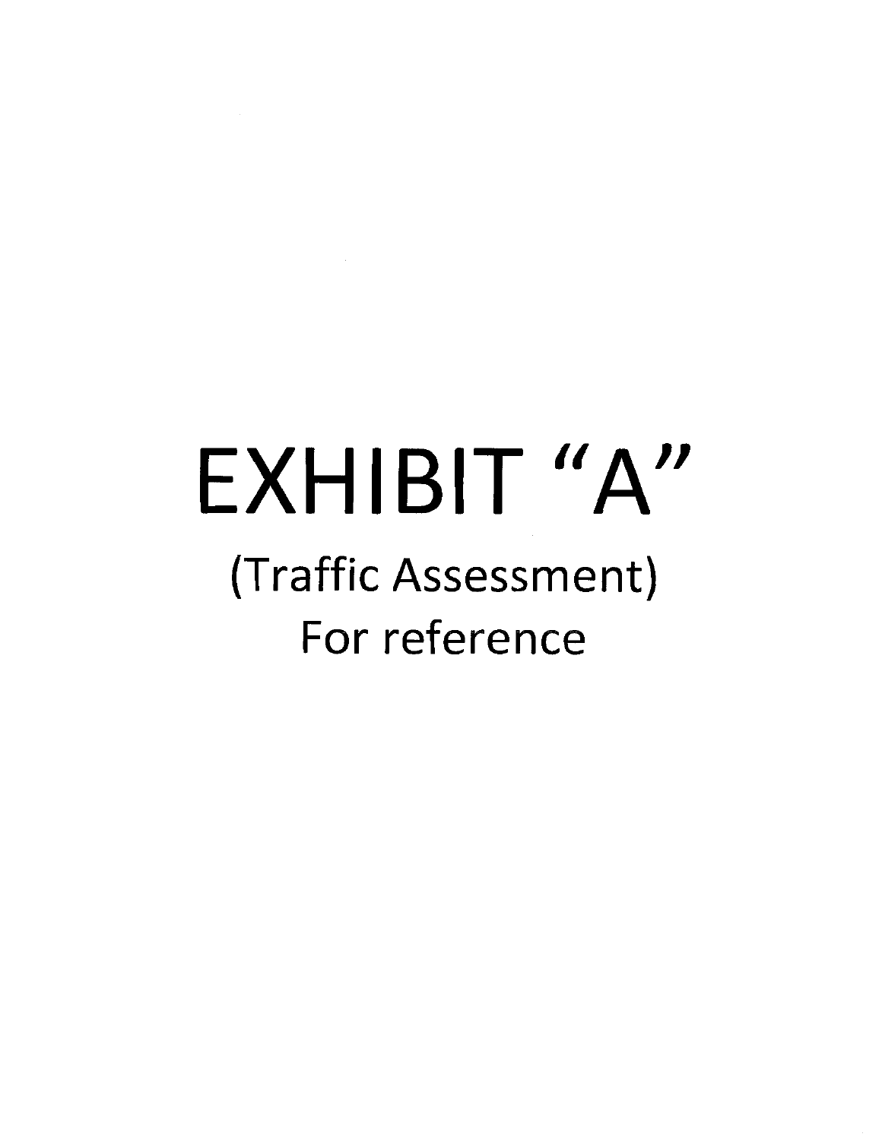# EXHIBIT "A"

# (Traffic Assessment) For reference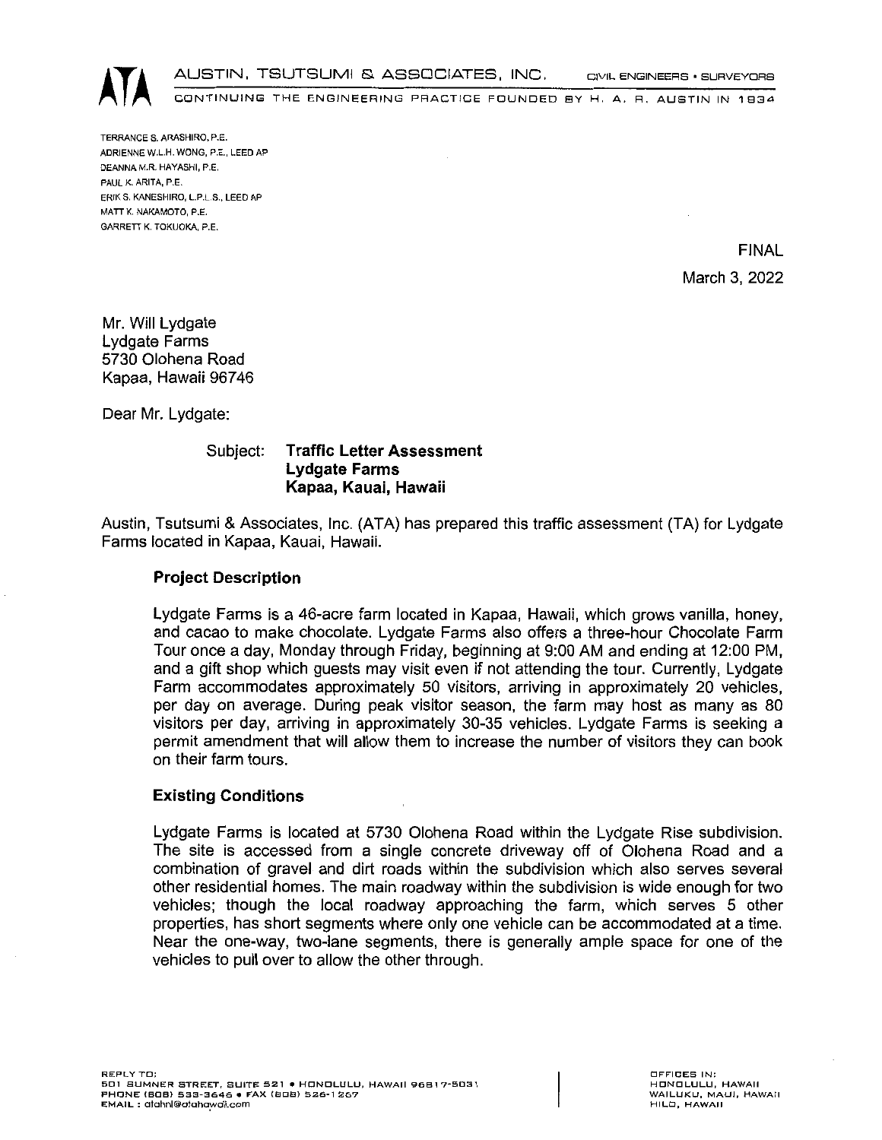AUSTIN, TSUTSUMI & ASSOCIATES, INC. CIVIL ENGINEERS • SURVEYORS<br>CONTINUING THE ENGINEERING PRACTICE FOUNDED BY H, A, R, AUSTIN IN 1934

TERRANCE S. ARASHIRO, P.E. ADRIENNE W.L.H. WONG, P.E,. LEED AP DEANNAM.R. HAYASHI, P.E. PAUL K. ARITA, P.E. ERtK S. KANESHIRO, L.P.L.S,, LEED AP MATT K. NAKAMOTO, P.E. GARRETT K. TOKUOKA, P.E.

> FINAL March 3, 2022

Mr. Will Lydgate Lydgate Farms 5730 Olohena Road Kapaa, Hawaii 96746

Dear Mr. Lydgate:

Subject: Traffic Letter Assessment Lydgate Farms Kapaa, Kauai, Hawaii

Austin, Tsutsumi & Associates, Inc. (ATA) has prepared this traffic assessment (TA) for Lydgate Farms located in Kapaa, Kauai, Hawaii.

#### Project Description

Lydgate Farms is <sup>a</sup> 46-acre farm located in Kapaa, Hawaii, which grows vanilla, honey, and cacao to make chocolate. Lydgate Farms also offers a three-hour Chocolate Farm Tour once a day, Monday through Friday, beginning at 9:00 AM and ending at 12:00 PM, and a gift shop which guests may visit even if not attending the tour. Currently, Lydgate Farm accommodates approximately 50 visitors, arriving in approximately 20 vehicles, per day on average. During peak visitor season, the farm may host as many as 80 visitors per day, arriving in approximately 30-35 vehicles. Lydgate Farms is seeking a permit amendment that will allow them to increase the number of visitors they can book on their farm tours.

#### Existing Conditions

Lydgate Farms is located at 5730 Olohena Road within the Lydgate Rise subdivision. The site is accessed from a single concrete driveway off of Olohena Road and a combination of gravel and dirt roads within the subdivision which also serves several other residential homes. The main roadway within the subdivision is wide enough for two vehicles; though the local roadway approaching the farm, which serves 5 other properties, has short segments where only one vehicle can be accommodated at a time. Near the one-way, two-lane segments, there is generally ample space for one of the vehides to pull over to allow the other through.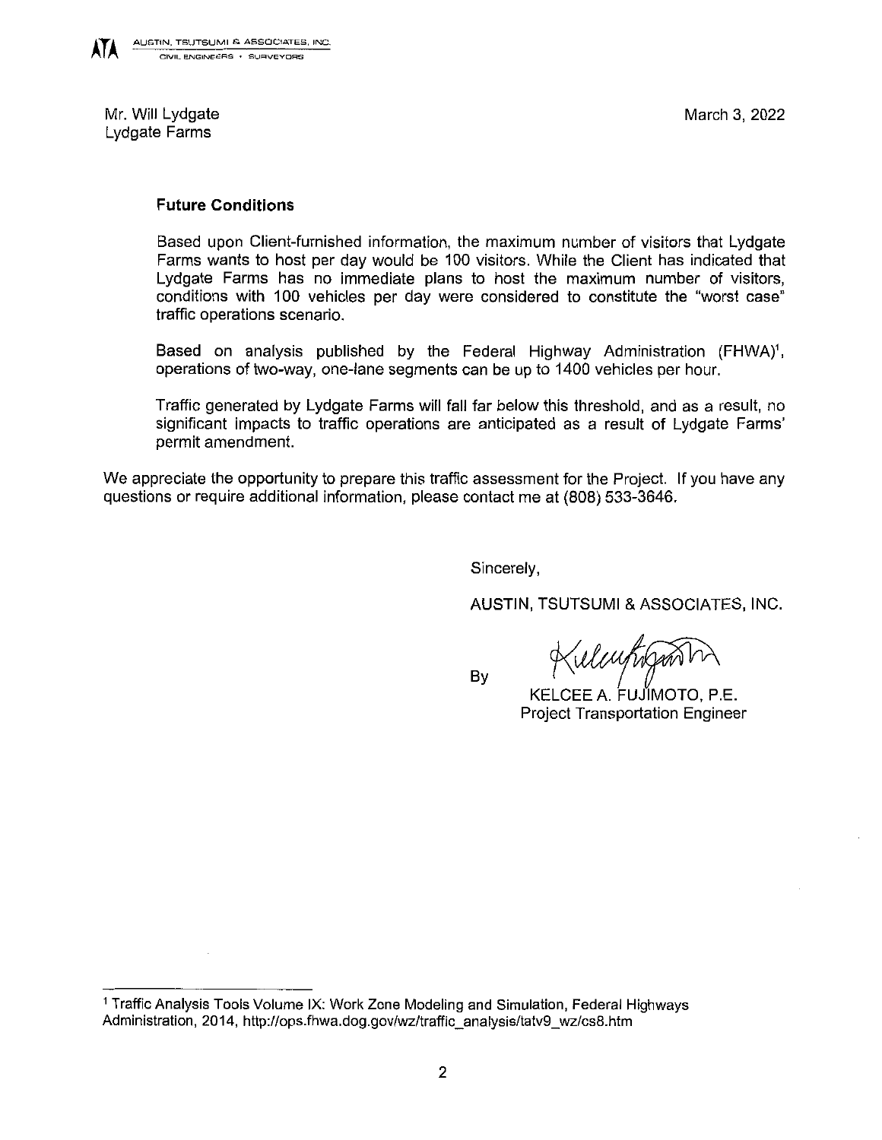

Mr. Will Lydgate Lydgate Farms

#### Future Conditions

Based upon Client-furnished information, the maximum number of visitors that Lydgate Farms wants to host per day would be 100 visitors. While the Client has indicated that Lydgate Farms has no immediate plans to host the maximum number of visitors, conditions with <sup>100</sup> vehicles per day were considered to constitute the "worst case" traffic operations scenario.

Based on analysis published by the Federal Highway Administration (FHWA)<sup>1</sup>, operations oftwo-way, one-lane segments can be up to 1400 vehicles per hour.

Traffic generated by Lydgate Farms will fall far below this threshold, and as <sup>a</sup> result, no significant impacts to traffic operations are anticipated as a result of Lydgate Farms' permit amendment.

We appreciate the opportunity to prepare this traffic assessment for the Project. If you have any questions or require additional information, please contact me at (808) 533-3646.

Sincerely,

By

AUSTIN, TSUTSUMI & ASSOCIATES, INC.

relentificant

KELCEE A. FUJ'IMOTO, P.E. Project Transportation Engineer

<sup>&</sup>lt;sup>1</sup> Traffic Analysis Tools Volume IX: Work Zone Modeling and Simulation, Federal Highways Administration, 2014, http://ops.fhwa.dog.gov/wz/traffic\_analysis/tatv9\_wz/cs8.htm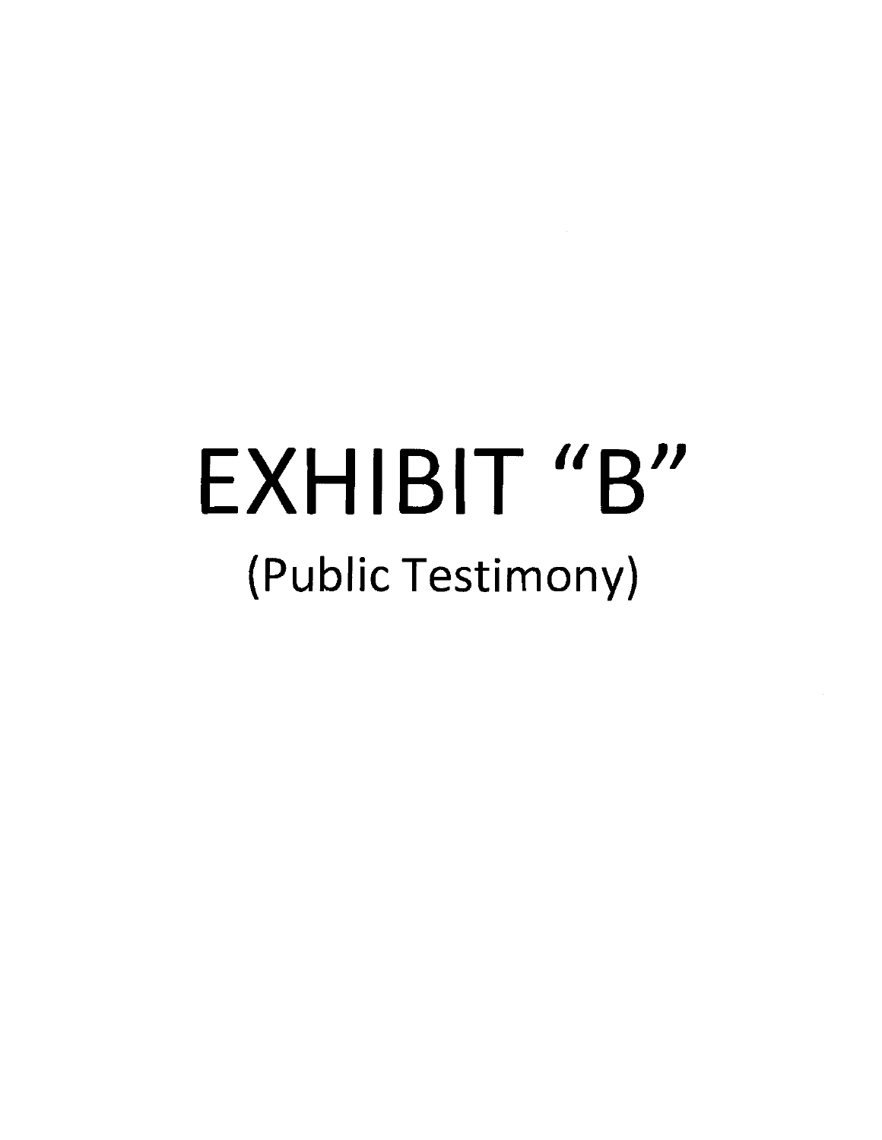# EXHIBIT "B (Public Testimony) //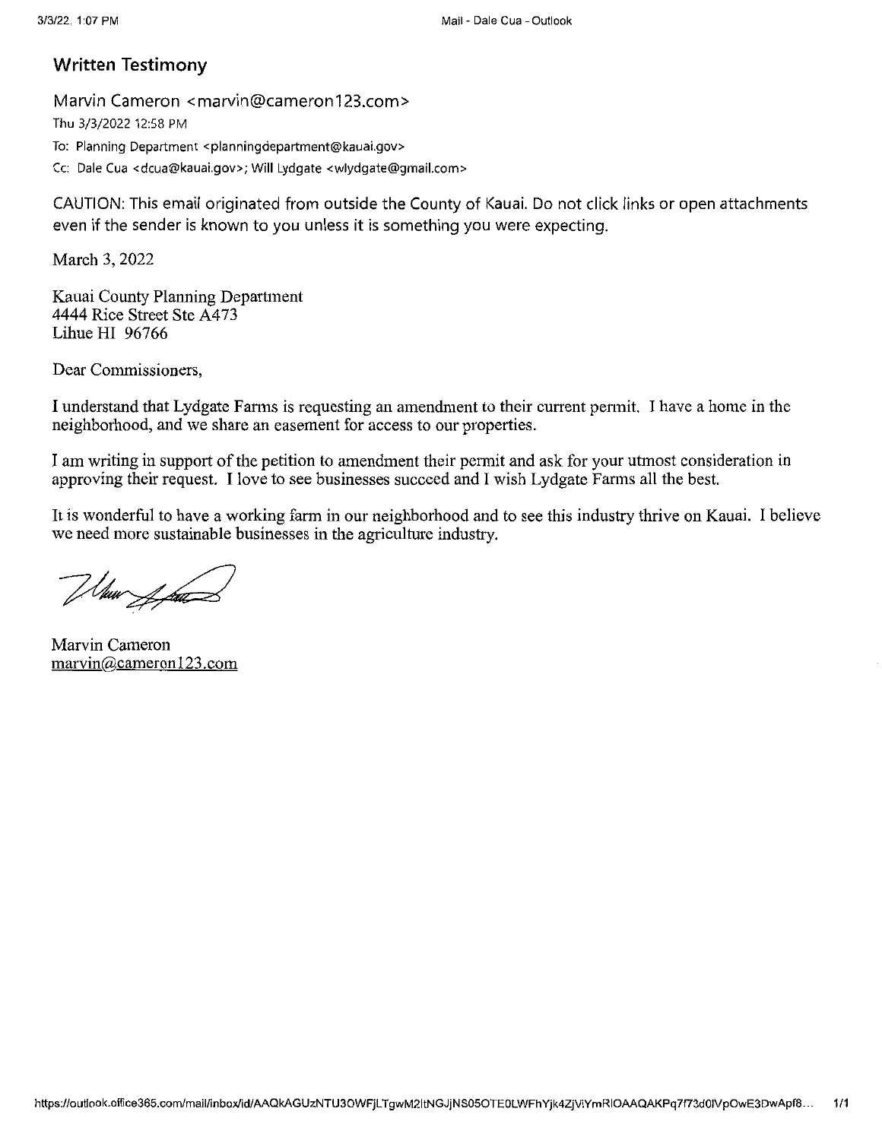## Written Testimony

Marvin Cameron <marvin@cameron123.com> Thu 3/3/2022 12:58 PM To: Planning Department <planningdepartment@kauai.gov> Cc: DaleCua <dcua@kauai.gov>; Will Lydgate <wlydgate@gmail.com>

CAUTION: This email originated from outside the County of Kauai. Do not click links or open attachments even if the sender is known to you unless it is something you were expecting.

March 3, 2022

Kauai County Planning Department 4444 Rice Street Ste A473 Lihue HI 96766

Dear Commissioners,

I understand that Lydgate Farms is requesting an amendment to their current permit. I have a home in the neighborhood, and we share an easement for access to our properties.

I am writing in support of the petition to amendment their permit and ask for your utmost consideration in approving their request. I love to see businesses succeed and I wish Lydgate Fanns all the best.

It is wonderful to have a working farm in our neighborhood and to see this industry thrive on Kauai. I believe we need more sustainable businesses in the agriculture industry.

When I fait

Marvin Cameron marvin@cameron123.com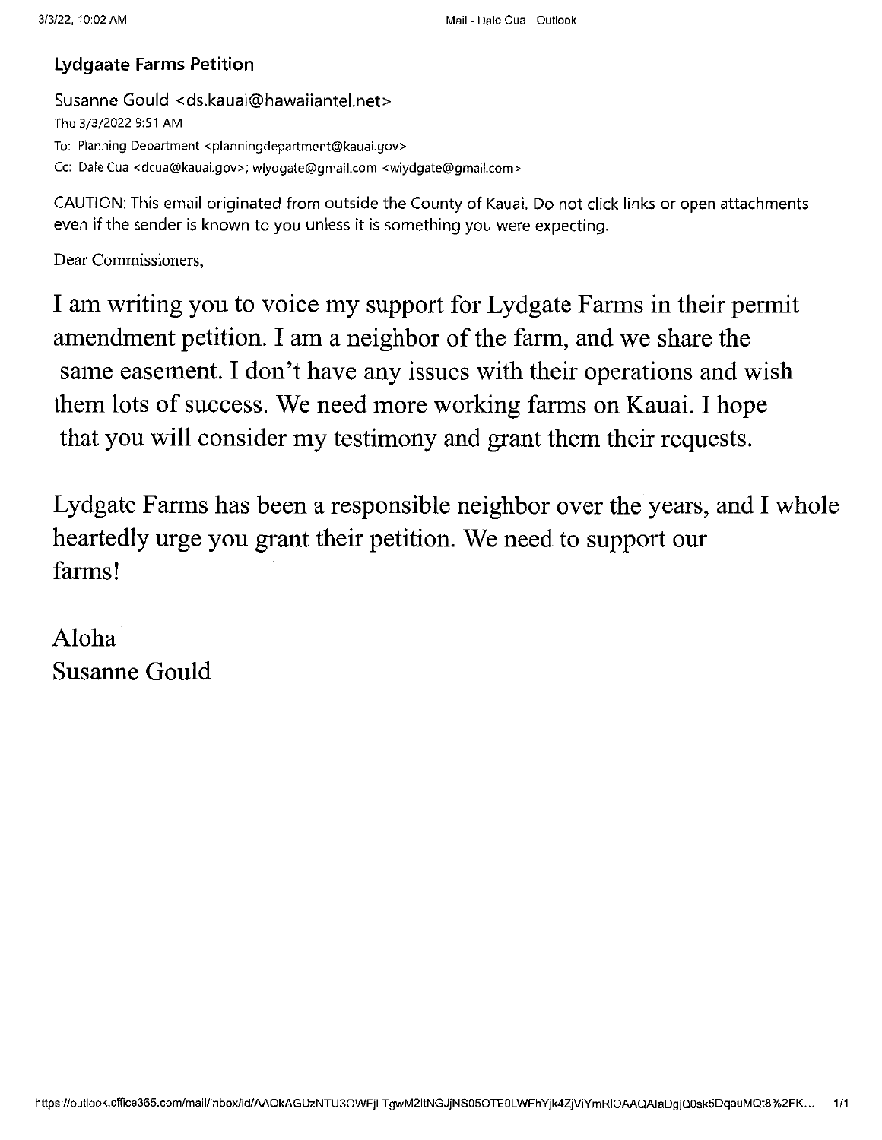# Lydgaate Farms Petition

Susanne Gould <ds.kauai@hawaiiantel.net> Thu 3/3/2022 9:51 AM To: Planning Department <planningdepartment@kauai.gov> Cc: Dale Cua <dcua@kauai.gov>; wlydgate@gmail.com <wlydgate@gmail.com>

CAUTION: This email originated from outside the County of Kauai. Do not click links or open attachments even if the sender is known to you unless it is something you were expecting.

Dear Commissioners,

I am writing you to voice my support for Lydgate Fanns in their permit amendment petition. I am a neighbor of the farm, and we share the same easement. I don't have any issues with their operations and wish them lots of success. We need more working farms on Kauai. I hope that you will consider my testimony and grant them their requests.

Lydgate Farms has been a responsible neighbor over the years, and I whole heartedly urge you grant their petition. We need to support our farms!

Aloha Susanne Gould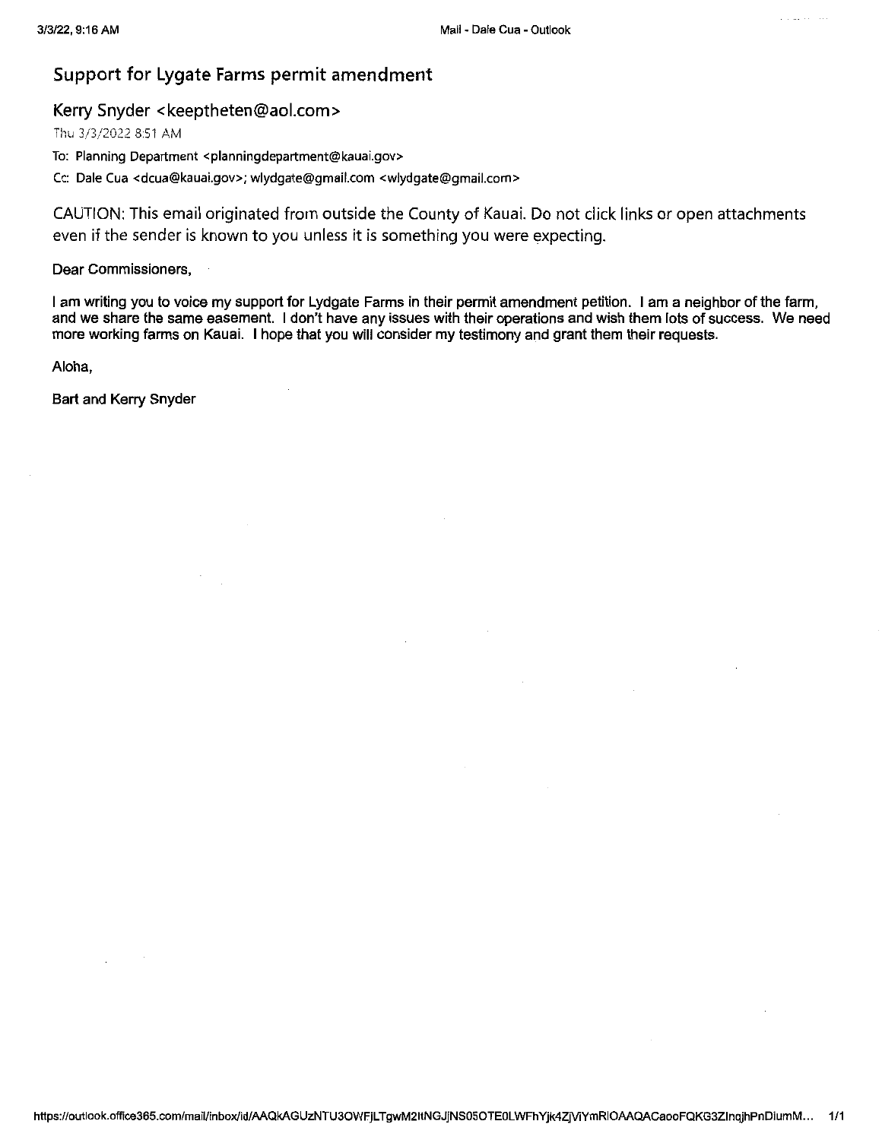#### Support for Lygate Farms permit amendment

#### Kerry Snyder <keeptheten@aol.com>

Thu 3/3/2022 8:51 AM

To: Planning Department <planningdepartment@kauai.gov>

Cc: Dale Cua <dcua@kauai.gov>; wlydgate@gmail.com <wlydgate@gmail.com>

CAUTION: This email originated from outside the County of Kauai. Do not click links or open attachments even if the sender is known to you unless it is something you were expecting.

#### Dear Commissioners,

<sup>1</sup> am writing you to voice my support for Lydgate Farms in their permit amendment petition. <sup>1</sup> am a neighbor of the farm, and we share the same easement. <sup>1</sup> don't have any issues with their operations and wish them lots of success. We need more working farms on Kauai. <sup>1</sup> hope that you will consider my testimony and grant them their requests.

Aloha,

Bart and Kerry Snyder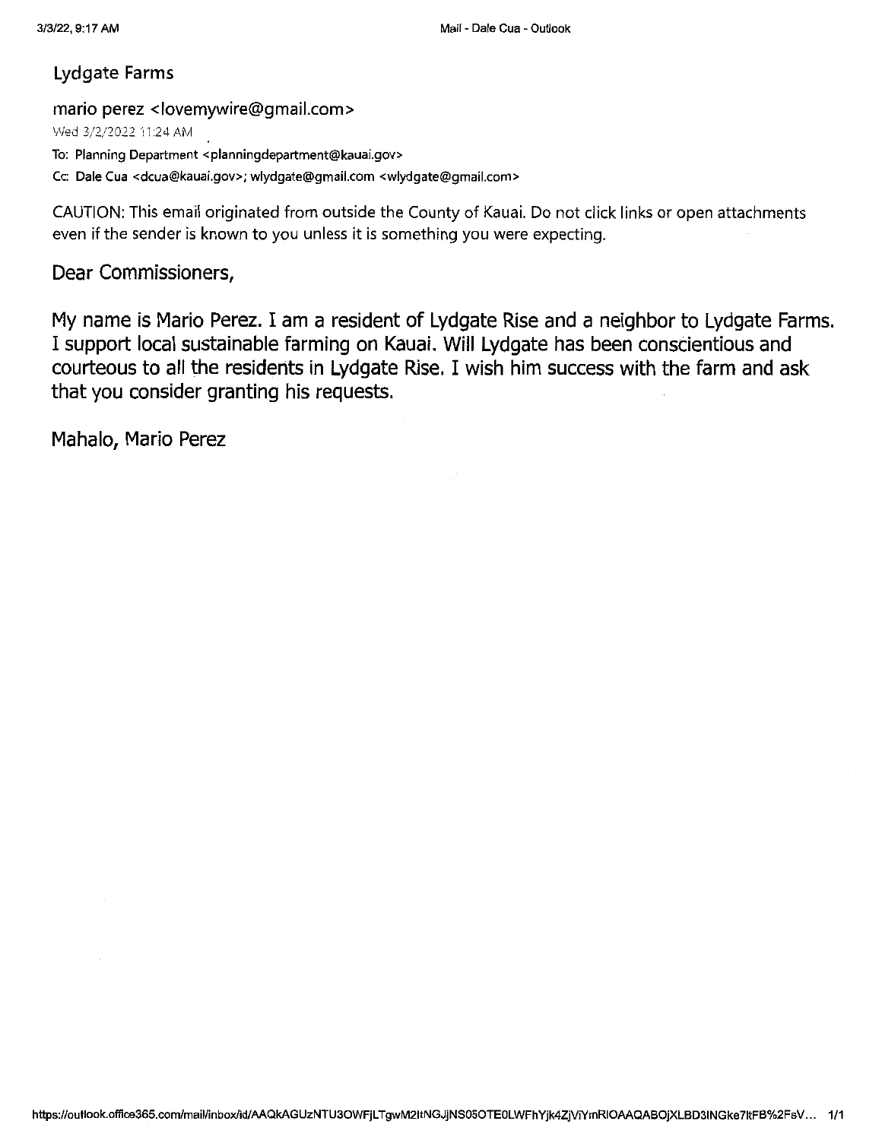# Lydgate Farms

#### mario perez <lovemywire@gmail.com>

Wsd 3/2/2022 11:24AM

To: Planning Department <planningdepartment@kauai.gov>

Cc: Dale Cua <dcua@kauai.gov>; wlydgate@gmail.com <wlydgate@gmail.com>

CAUTION: This email originated from outside the County of Kauai. Do not click links or open attachments even if the sender is known to you unless it is something you were expecting.

# Dear Commissioners,

My name is Mario Perez. I am <sup>a</sup> resident of Lydgate Rise and <sup>a</sup> neighbor to Lydgate Farms. I support local sustainable farming on Kauai. Will Lydgate has been conscientious and courteous to all the residents in Lydgate Rise, I wish him success with the farm and ask that you consider granting his requests.

Mahalo, Mario Perez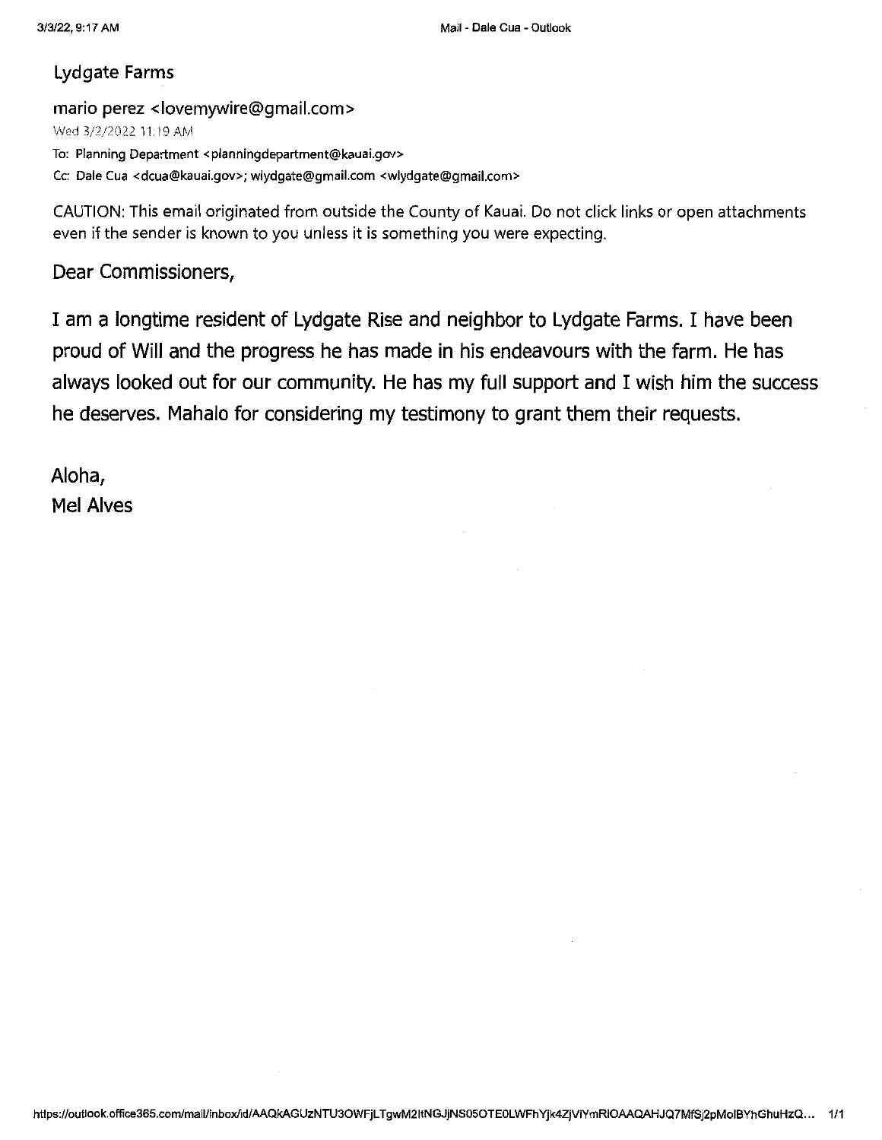# Lydgate Farms

#### mario perez <lovemywire@gmail.com>

Wed 3/2/2022 11.19AM

To: Planning Department <planningdepartment@kauai.gov>

Cc: Dale Cua <dcua@kauai.gov>; wlydgate@gmail.com <wlydgate@gmail.com>

CAUTION: This email originated from outside the County of Kauai. Do not click links or open attachments even if the sender is known to you unless it is something you were expecting.

# Dear Commissioners,

I am <sup>a</sup> longtime resident of Lydgate Rise and neighbor to Lydgate Farms. I have been proud of Will and the progress he has made in his endeavours with the farm. He has always looked out for our community. He has my full support and I wish him the success he deserves. Mahalo for considering my testimony to grant them their requests.

Aloha, Mel Alves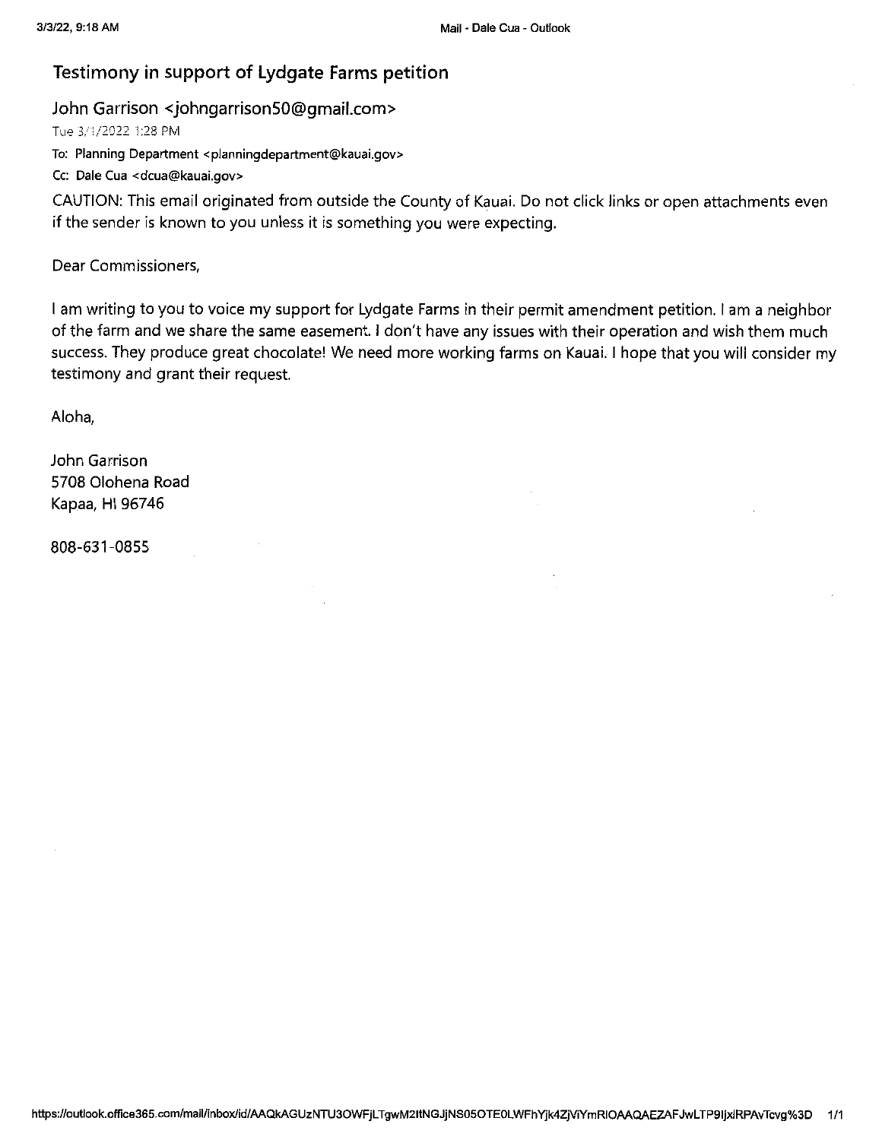# Testimony in support of Lydgate Farms petition

#### John Garrison <johngarrison50@gmail.com>

Tue 3/1/2022 1:28 PM

To: Planning Department <planningdepartment@kauai.gov>

Cc: Dale Cua <dcua@kauai.gov>

CAUTION: This email originated from outside the County of Kauai. Do not click links or open attachments even if the sender is known to you unless it is something you were expecting.

Dear Commissioners,

<sup>I</sup> am writing to you to voice my support for Lydgate Farms in their permit amendment petition. <sup>1</sup> am <sup>a</sup> neighbor of the farm and we share the same easement. <sup>1</sup> don't have any issues with their operation and wish them much success. They produce great chocolate! We need more working farms on Kauai. <sup>I</sup> hope that you will consider my testimony and grant their request.

Aloha,

John Garrison 5708 Olohena Road Kapaa, HI 96746

808-631-0855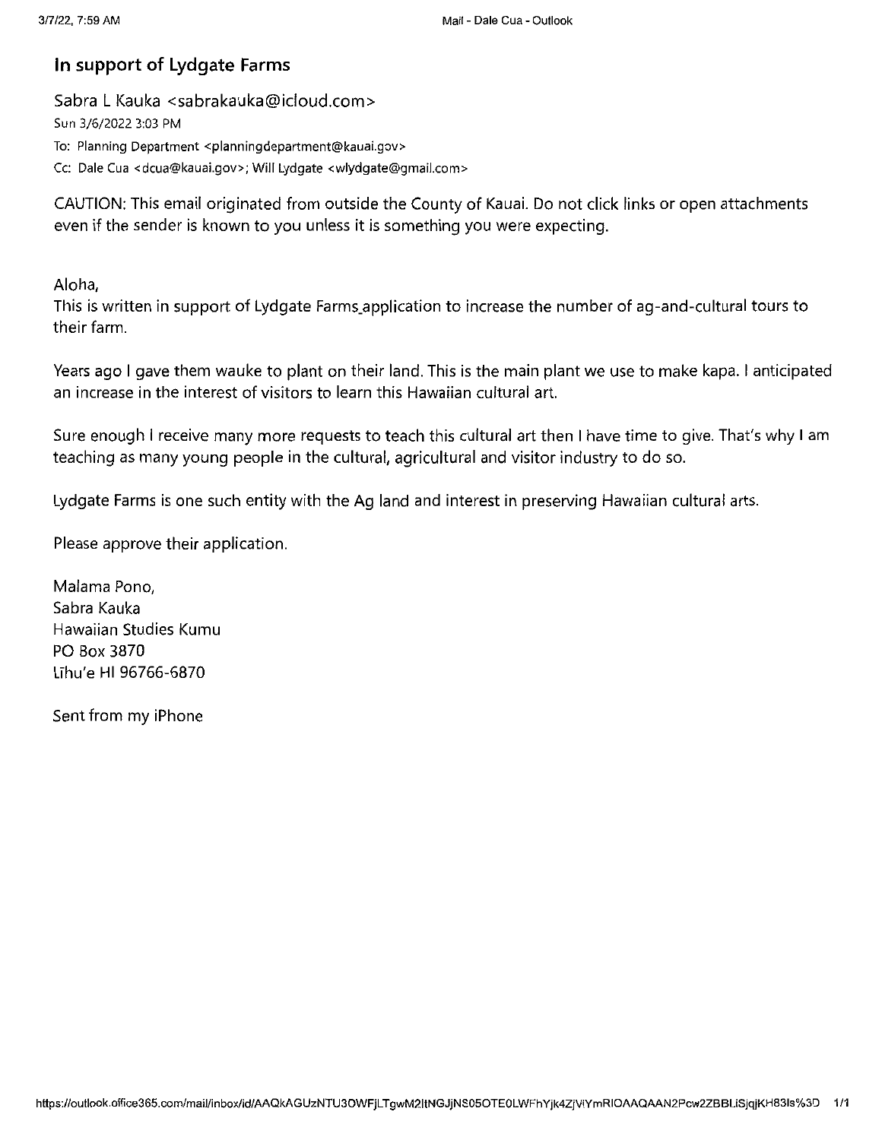# In support of Lydgate Farms

Sabra <sup>L</sup> Kauka <sabrakauka@icloud.com> Sun 3/6/2022 3:03 PM To: Planning Department <planningdepartment@kauai.gov> Cc: Dale Cua <dcua@kauai.gov>; Will Lydgate <wlydgate@gmail.com>

CAUTION: This email originated from outside the County of Kauai. Do not click links or open attachments even if the sender is known to you unless it is something you were expecting.

Aloha,

This is written in support of Lydgate Farms.application to increase the number of ag-and-cultural tours to their farm.

Years ago <sup>1</sup> gave them wauke to plant on their land. This is the main plant we use to make kapa. <sup>1</sup> anticipated an increase in the interest of visitors to learn this Hawaiian cultural art.

Sure enough <sup>1</sup> receive many more requests to teach this cultural art then <sup>1</sup> have time to give. That's why <sup>1</sup> am teaching as many young people in the cultural, agricultural and visitor industry to do so.

Lydgate Farms is one such entity with the Ag land and interest in preserving Hawaiian cultural arts.

Please approve their application.

Malama Pono, Sabra Kauka Hawaiian Studies Kumu PO Box 3870 LThu'e Hl 96766-6870

Sent from my iPhone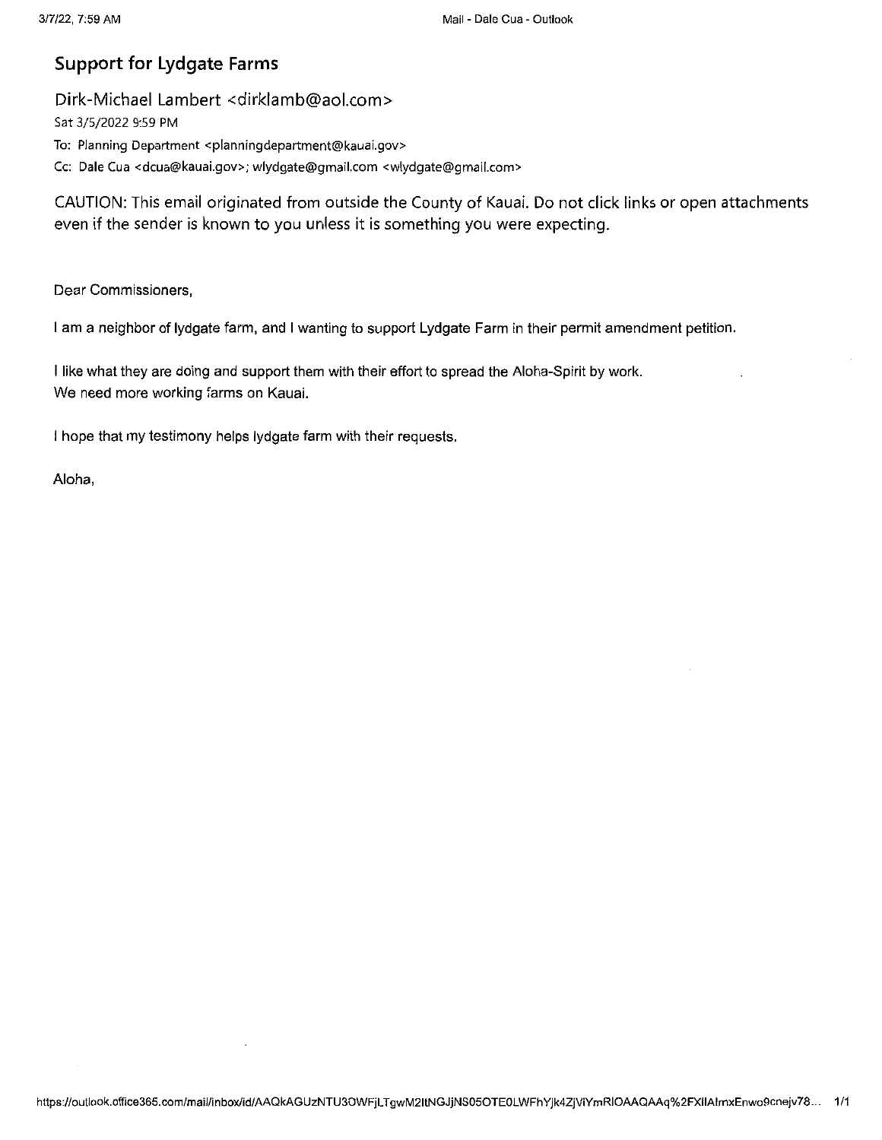# Support for Lydgate Farms

#### Dirk-Michael Lambert <dirklamb@aol.com>

Sat 3/5/2022 9:59 PM

To: Planning Department <planningdepartment@kauai.gov>

Cc: Dale Cua <dcua@kauai.gov>; wlydgate@gmail.com <wlydgate@gmail.com>

CAUTION: This email originated from outside the County of Kauai. Do not click links or open attachments even if the sender is known to you unless it is something you were expecting.

Dear Commissioners,

<sup>1</sup> am <sup>a</sup> neighbor of lydgate farm, and <sup>1</sup> wanting to support Lydgate Farm in their permit amendment petition.

<sup>1</sup> like what they are doing and support them with their effort to spread the Aloha-Spirit by work. We need more working farms on Kauai.

<sup>I</sup> hope that my testimony helps lydgate farm with their requests.

Aloha,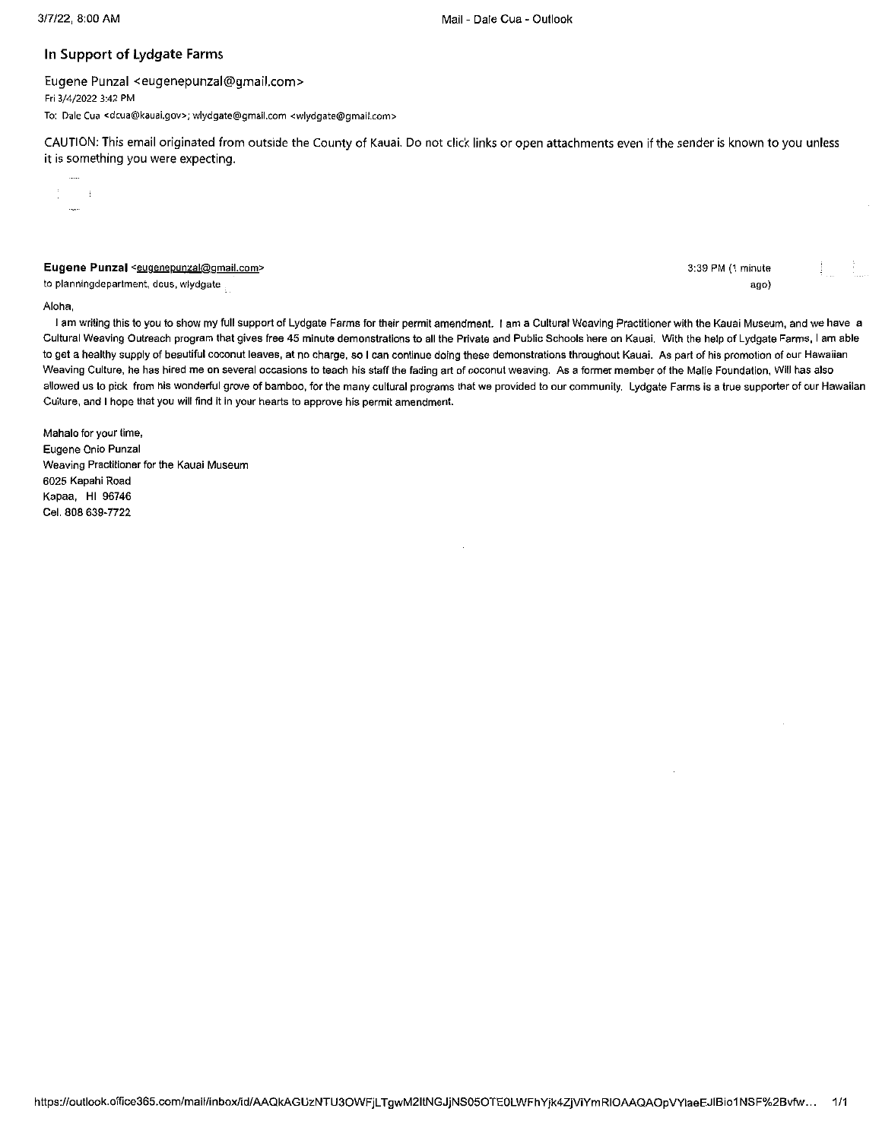#### In Support of Lydgate Farms

Eugene Punzal <eugenepunzal@gmail.com> Fri 3/4/2022 3:42 PM To: Dale Cua <dcua@kauai.gov>; wlydgate@gmail.com <wlydgate@gmail.com>

CAUTION; This email originated from outside the County of Kauai. Do not click links or open attachments even if the sender is known to you unless it is something you were expecting.

Eugene Punzal <eugenepunzal@gmail.com>

to planningdepartment, dcus, wiydgate

3:39 PM (1 minute ago)

#### Atoha,

 $\frac{1}{2}$  and  $\frac{1}{2}$ 

I am writing this to you to show my full support of Lydgate Farms for their permit amendment. I am a Cultural Weaving Practitioner with the Kauai Museum, and we have a Cultural Weaving Outreach program that gives free 45 minute demonstrations to all the Private and Public Schools here on Kauai. With the help of Lydgate Farms, <sup>1</sup> am able to get a healthy supply of beautiful coconut leaves, at no charge, so I can continue doing these demonstrations throughout Kauai. As part of his promotion of our Hawaiian Weaving Culture, he has hired me on several occasions to teach his staff the fading art of coconut weaving. As a former member of the Matie Foundation, Wifl has also allowed us to pick from his wonderful grove of bamboo, for the many cultural programs that we provided to our community. Lydgate Farms is a true supporter of our Hawaiian Culture, and <sup>1</sup> hope that you wilf find it in your hearts to approve his permit amendment.

Mahalo for your time, Eugene Onio Punzal Weaving Practitioner for the Kauai Museum 6025 Kapahi Road Kapaa, Hl 96746 Cel. 808 639-7722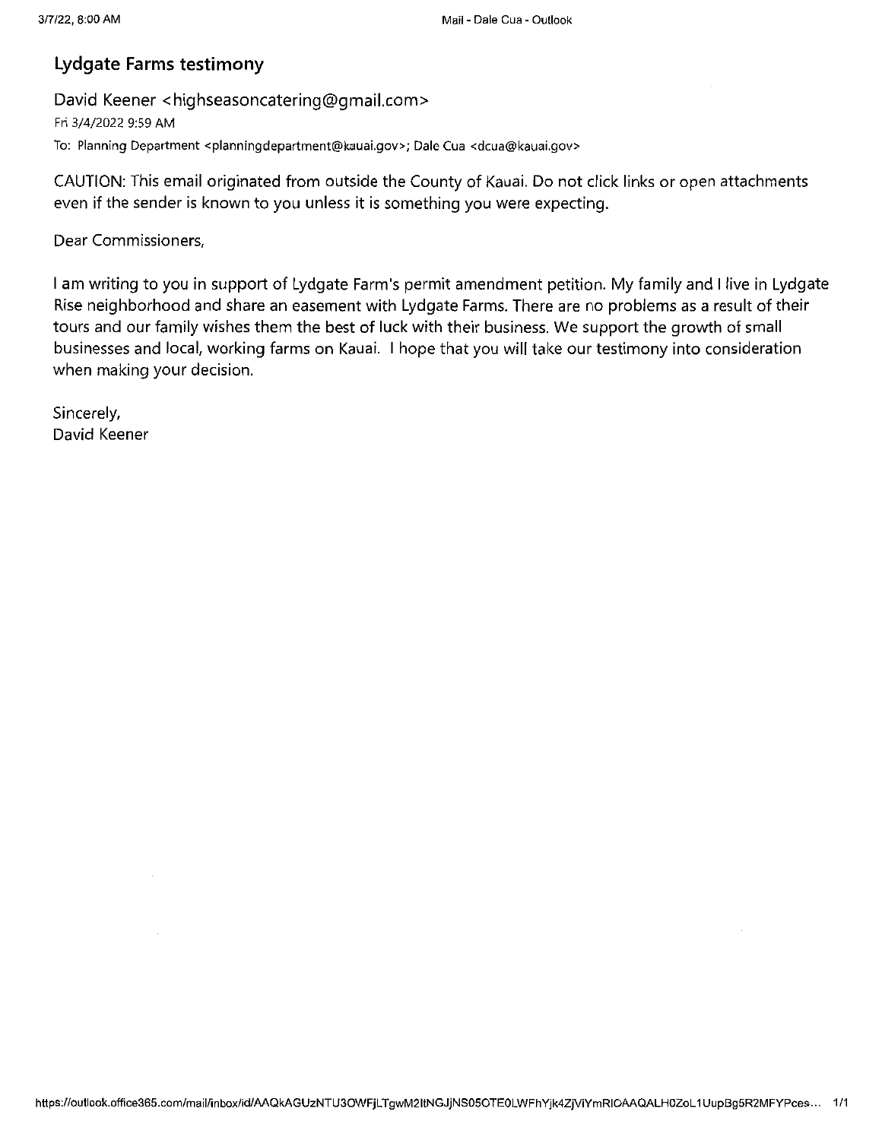# Lydgate Farms testimony

David Keener <highseasoncatering@gmail.com>

Fri 3/4/2022 9:59 AM To: Planning Department <planningdepartment@kauai.gov>; DaleCua <dcua@kauai.gov>

CAUTION: This email originated from outside the County of Kauai. Do not click links or open attachments even if the sender is known to you unless it is something you were expecting.

Dear Commissioners,

<sup>1</sup> am writing to you in support of Lydgate Farm's permit amendment petition. My family and <sup>1</sup> live in Lydgate Rise neighborhood and share an easement with Lydgate Farms. There are no problems as <sup>a</sup> result of their tours and our family wishes them the best of luck with their business. We support the growth of small businesses and local, working farms on Kauai. <sup>1</sup> hope that you will take our testimony into consideration when making your decision.

Sincerely, David Keener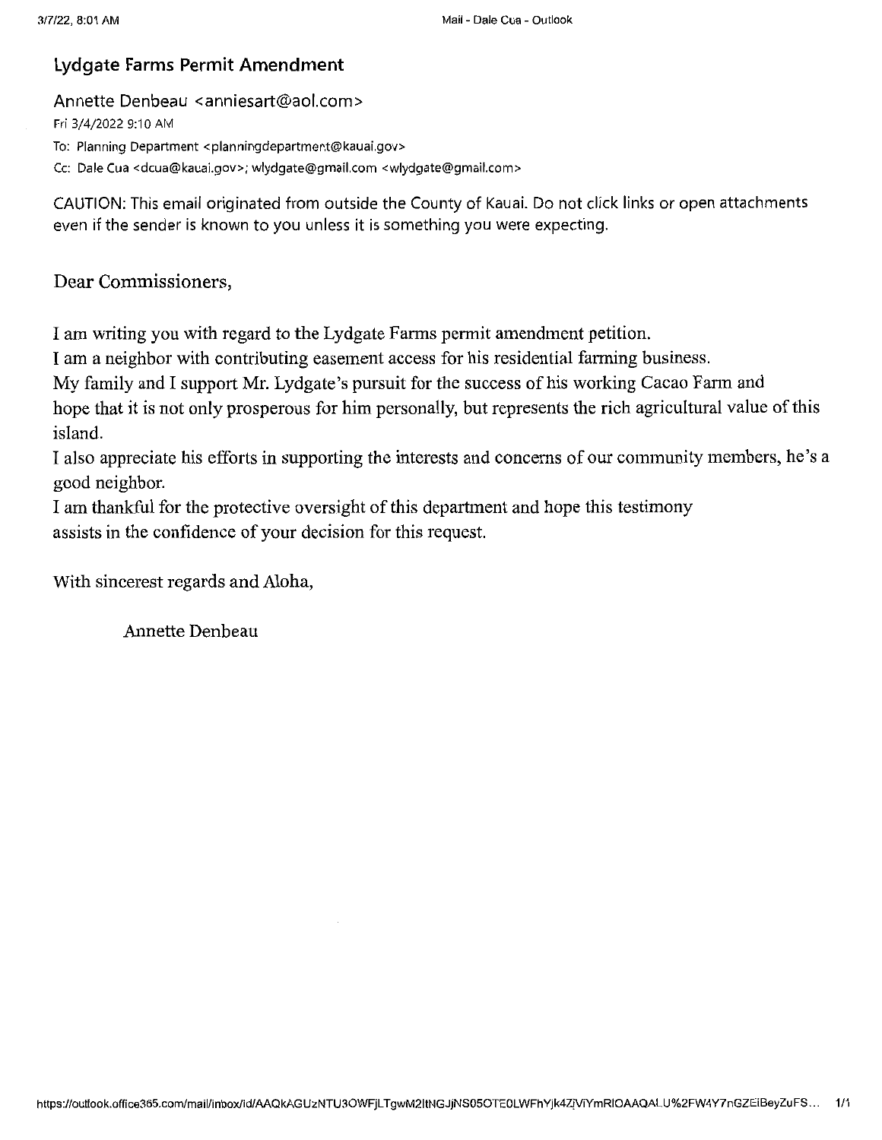# Lydgate Farms Permit Amendment

#### Annette Denbeau <anniesart@aol.com>

Fri 3/4/2022 9:10 AM To: Planning Department <planningdepartment@kauai.gov> Cc: Dale Cua <dcua@kauai.gov>; wlydgate@gmail.com <wlydgate@gmail.com>

CAUTION: This email originated from outside the County of Kauai. Do not click links or open attachments even if the sender is known to you unless it is something you were expecting.

Dear Commissioners,

I am writing you with regard to the Lydgate Farms permit amendment petition.

I am a neighbor with contributing easement access for his residential farming business.

My family and I support Mr. Lydgate's pursuit for the success of his working Cacao Farm and

hope that it is not only prosperous for him personally, but represents the rich agricultural value of this island.

I also appreciate his efforts in supporting the interests and concems ofour community members, he's a good neighbor.

I am thankful for the protective oversight of this department and hope this testimony assists in the confidence of your decision for this request.

With sincerest regards and Aloha,

Annette Denbeau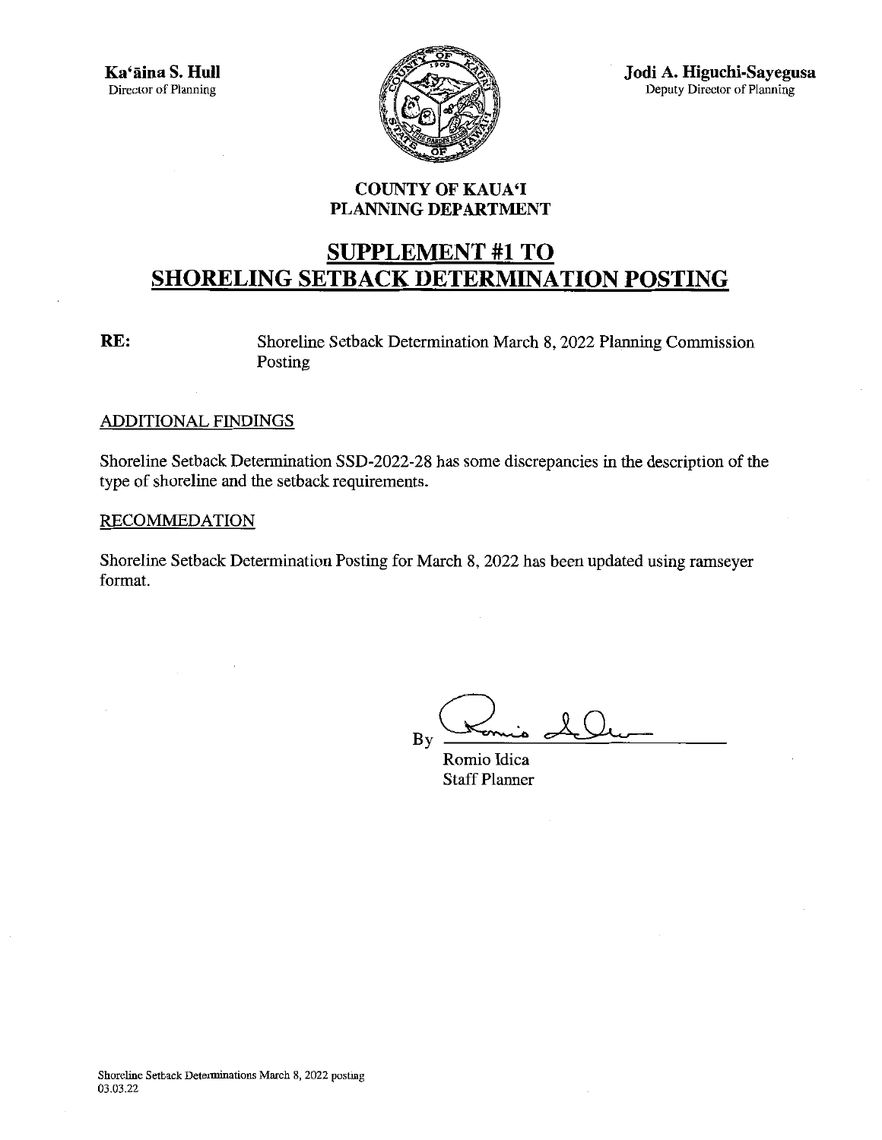

Jodi A. Higuchi-Sayegusa Deputy Director of PIanning

#### COUNTY OF KAUA'I PLANNING DEPARTMENT

# SUPPLEMENT #1 TO SHORELING SETBACK DETERMINATION POSTING

RE: Shoreline Setback Determination March 8, 2022 Planning Commission Posting

#### ADDITIONAL FINDINGS

Shoreline Setback Determination SSD-2022-28 has some discrepancies in the description of the type of shoreline and the setback requirements.

#### RECOMMEDATION

Shoreline Setback Determination Posting for March 8, 2022 has been updated using ramseyer format.

By

Romio Idica **Staff Planner**